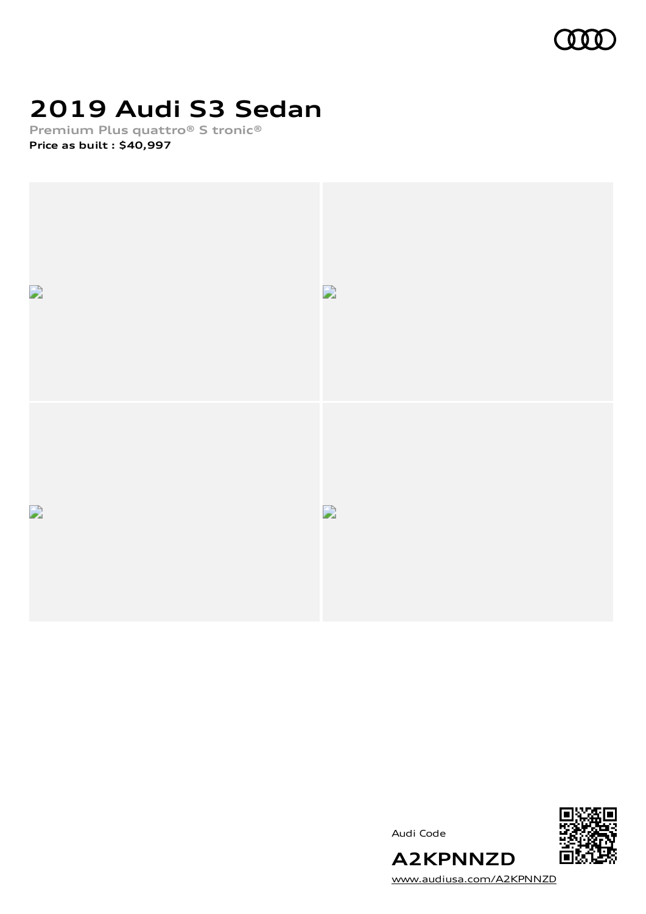

# **2019 Audi S3 Sedan**

**Premium Plus quattro® S tronic® Price as built [:](#page-10-0) \$40,997**



Audi Code



[www.audiusa.com/A2KPNNZD](https://www.audiusa.com/A2KPNNZD)

**A2KPNNZD**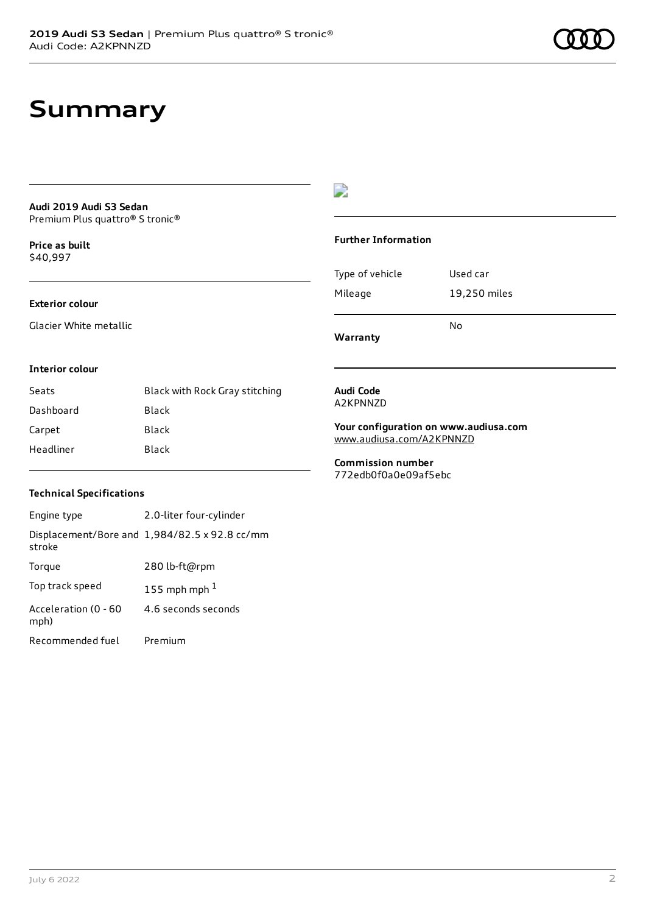### **Summary**

#### **Audi 2019 Audi S3 Sedan** Premium Plus quattro® S tronic®

**Price as buil[t](#page-10-0)** \$40,997

#### **Exterior colour**

Glacier White metallic

#### $\overline{\phantom{a}}$

#### **Further Information**

|                 | N٥           |
|-----------------|--------------|
| Mileage         | 19,250 miles |
| Type of vehicle | Used car     |

**Warranty**

#### **Interior colour**

| Seats     | Black with Rock Gray stitching |
|-----------|--------------------------------|
| Dashboard | Black                          |
| Carpet    | Black                          |
| Headliner | Black                          |

#### **Audi Code** A2KPNNZD

**Your configuration on www.audiusa.com** [www.audiusa.com/A2KPNNZD](https://www.audiusa.com/A2KPNNZD)

**Commission number** 772edb0f0a0e09af5ebc

#### **Technical Specifications**

| Engine type                  | 2.0-liter four-cylinder                       |
|------------------------------|-----------------------------------------------|
| stroke                       | Displacement/Bore and 1,984/82.5 x 92.8 cc/mm |
| Torque                       | 280 lb-ft@rpm                                 |
| Top track speed              | 155 mph mph $1$                               |
| Acceleration (0 - 60<br>mph) | 4.6 seconds seconds                           |
| Recommended fuel             | Premium                                       |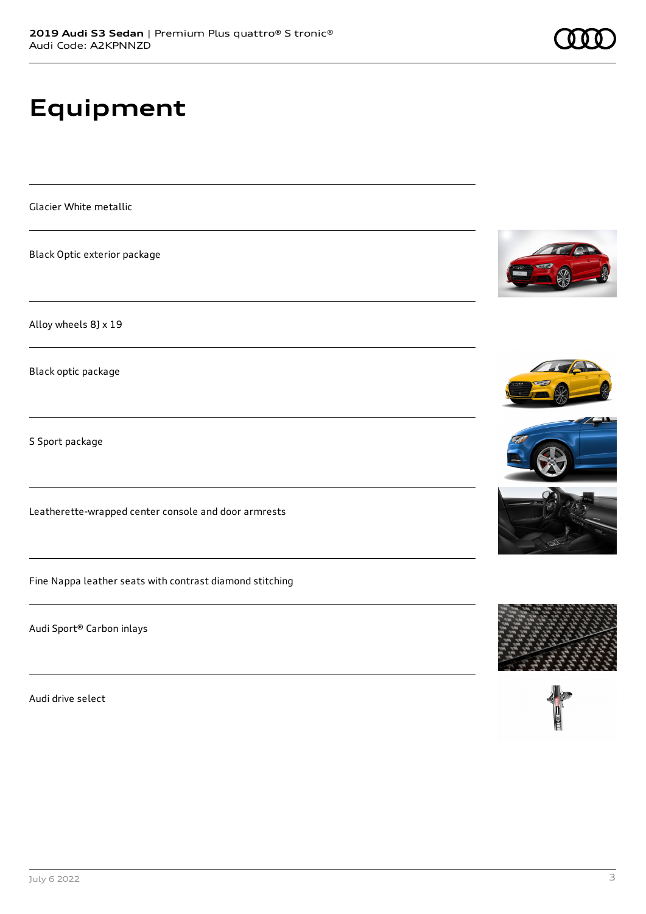# **Equipment**

Glacier White metallic

Black Optic exterior package

Alloy wheels 8J x 19

Black optic package

S Sport package

Leatherette-wrapped center console and door armrests

Fine Nappa leather seats with contrast diamond stitching

Audi Sport® Carbon inlays

Audi drive select









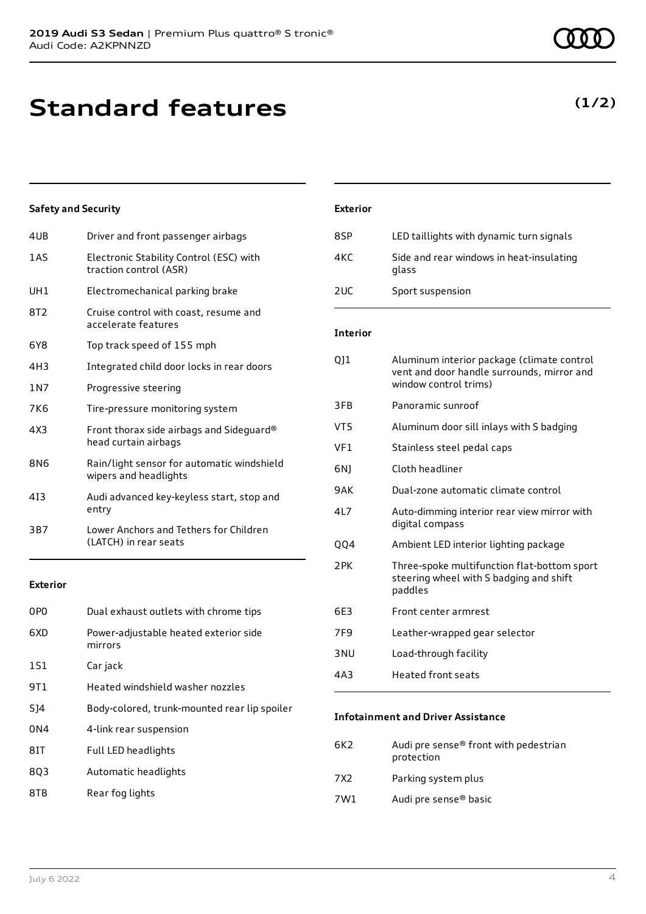**Standard features**

#### **Safety and Security**

| 4UB   | Driver and front passenger airbags                                  |
|-------|---------------------------------------------------------------------|
| 1 A S | Electronic Stability Control (ESC) with<br>traction control (ASR)   |
| UH1   | Electromechanical parking brake                                     |
| 8T2   | Cruise control with coast, resume and<br>accelerate features        |
| 6Y8   | Top track speed of 155 mph                                          |
| 4H3   | Integrated child door locks in rear doors                           |
| 1 N 7 | Progressive steering                                                |
| 7K6   | Tire-pressure monitoring system                                     |
| 4X3   | Front thorax side airbags and Sideguard®<br>head curtain airbags    |
| 8N6   | Rain/light sensor for automatic windshield<br>wipers and headlights |
| 413   | Audi advanced key-keyless start, stop and<br>entry                  |
| 3B7   | Lower Anchors and Tethers for Children<br>(LATCH) in rear seats     |
|       |                                                                     |

#### **Exterior**

| 0PO             | Dual exhaust outlets with chrome tips            |
|-----------------|--------------------------------------------------|
| 6XD             | Power-adjustable heated exterior side<br>mirrors |
| 1S1             | Car jack                                         |
| 9T1             | Heated windshield washer nozzles                 |
| 5]4             | Body-colored, trunk-mounted rear lip spoiler     |
| 0 <sub>N4</sub> | 4-link rear suspension                           |
| 8IT             | Full LED headlights                              |
| 803             | Automatic headlights                             |
| 8TB             | Rear fog lights                                  |

### **Exterior** 8SP LED taillights with dynamic turn signals 4KC Side and rear windows in heat-insulating glass 2UC Sport suspension

#### **Interior**

| 011             | Aluminum interior package (climate control<br>vent and door handle surrounds, mirror and<br>window control trims) |
|-----------------|-------------------------------------------------------------------------------------------------------------------|
| 3FB             | Panoramic sunroof                                                                                                 |
| VT5             | Aluminum door sill inlays with S badging                                                                          |
| VF1             | Stainless steel pedal caps                                                                                        |
| 6N)             | Cloth headliner                                                                                                   |
| 9AK             | Dual-zone automatic climate control                                                                               |
| 417             | Auto-dimming interior rear view mirror with<br>digital compass                                                    |
| 004             | Ambient LED interior lighting package                                                                             |
| 2 PK            | Three-spoke multifunction flat-bottom sport<br>steering wheel with S badging and shift<br>paddles                 |
| 6E3             | Front center armrest                                                                                              |
| 7F9             | Leather-wrapped gear selector                                                                                     |
| 3 NU            | Load-through facility                                                                                             |
| 4A <sub>3</sub> | <b>Heated front seats</b>                                                                                         |

#### **Infotainment and Driver Assistance**

| 6K2.  | Audi pre sense <sup>®</sup> front with pedestrian<br>protection |
|-------|-----------------------------------------------------------------|
| 7 X 2 | Parking system plus                                             |
| 7W1   | Audi pre sense <sup>®</sup> basic                               |

### **(1/2)**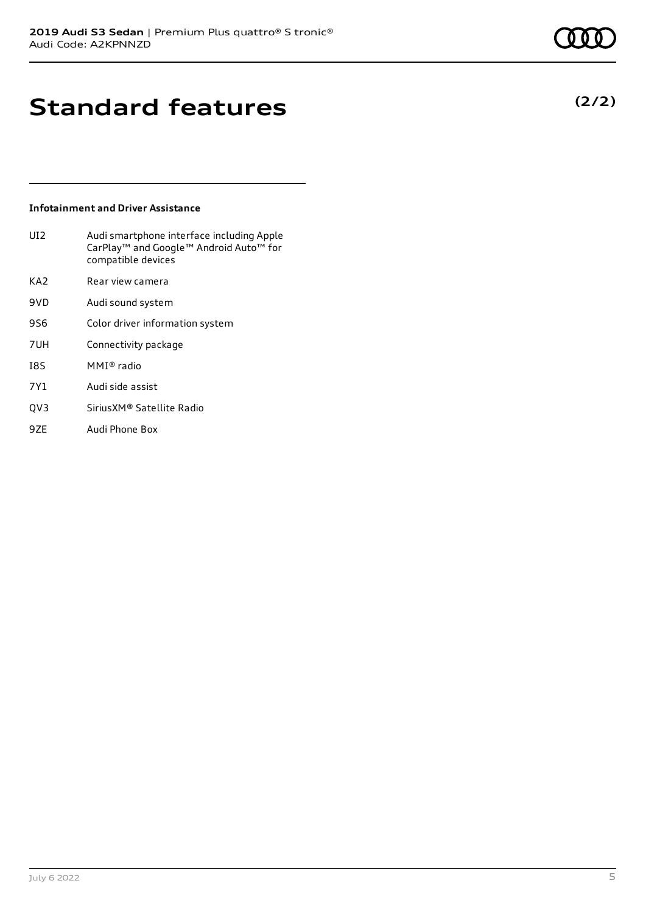**(2/2)**

### **Standard features**

#### **Infotainment and Driver Assistance**

| UI <sub>2</sub> | Audi smartphone interface including Apple<br>CarPlay <sup>™</sup> and Google™ Android Auto <sup>™</sup> for<br>compatible devices |
|-----------------|-----------------------------------------------------------------------------------------------------------------------------------|
| KA <sub>2</sub> | Rear view camera                                                                                                                  |
| 9VD             | Audi sound system                                                                                                                 |
| 9S6             | Color driver information system                                                                                                   |
| 7UH             | Connectivity package                                                                                                              |
| I8S             | MMI® radio                                                                                                                        |
| 7Y1             | Audi side assist                                                                                                                  |
| OV3             | Sirius XM® Satellite Radio                                                                                                        |

9ZE Audi Phone Box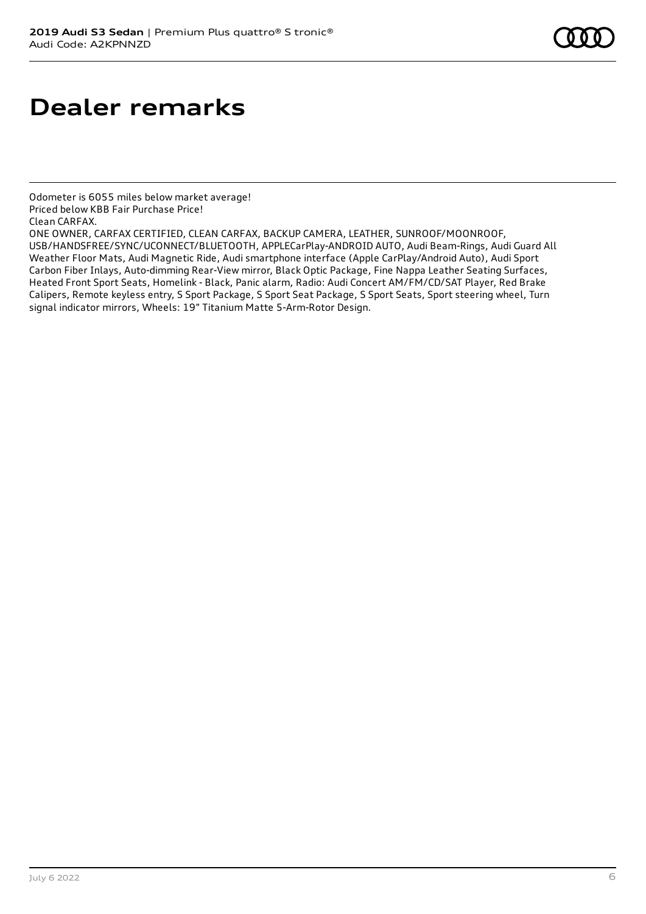### **Dealer remarks**

Odometer is 6055 miles below market average! Priced below KBB Fair Purchase Price! Clean CARFAX.

July 6 2022 6

ONE OWNER, CARFAX CERTIFIED, CLEAN CARFAX, BACKUP CAMERA, LEATHER, SUNROOF/MOONROOF, USB/HANDSFREE/SYNC/UCONNECT/BLUETOOTH, APPLECarPlay-ANDROID AUTO, Audi Beam-Rings, Audi Guard All Weather Floor Mats, Audi Magnetic Ride, Audi smartphone interface (Apple CarPlay/Android Auto), Audi Sport Carbon Fiber Inlays, Auto-dimming Rear-View mirror, Black Optic Package, Fine Nappa Leather Seating Surfaces, Heated Front Sport Seats, Homelink - Black, Panic alarm, Radio: Audi Concert AM/FM/CD/SAT Player, Red Brake Calipers, Remote keyless entry, S Sport Package, S Sport Seat Package, S Sport Seats, Sport steering wheel, Turn signal indicator mirrors, Wheels: 19" Titanium Matte 5-Arm-Rotor Design.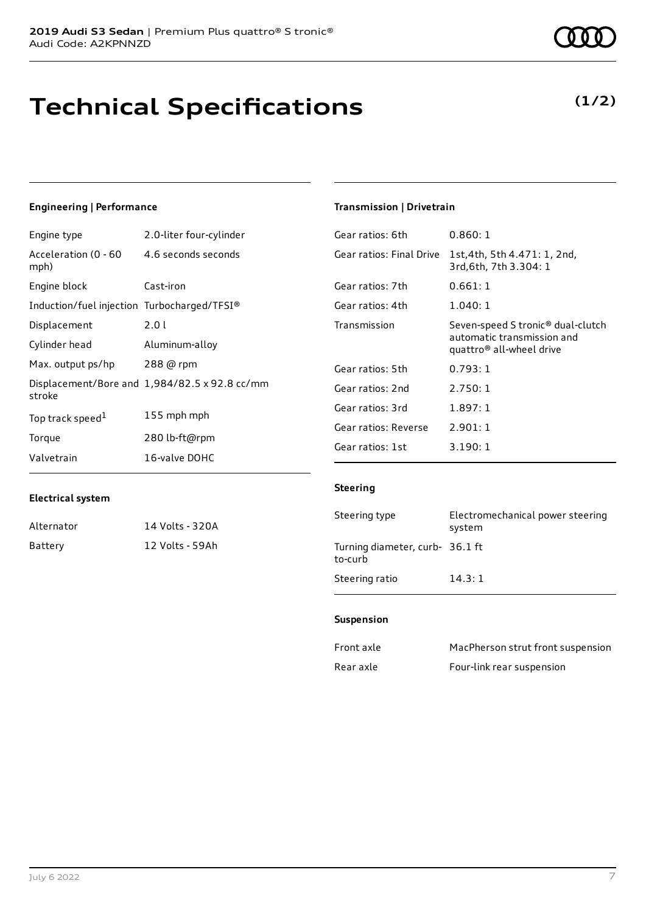# **Technical Specifications**

### **Engineering | Performance**

| Engine type                                 | 2.0-liter four-cylinder                       |
|---------------------------------------------|-----------------------------------------------|
| Acceleration (0 - 60<br>mph)                | 4.6 seconds seconds                           |
| Engine block                                | Cast-iron                                     |
| Induction/fuel injection Turbocharged/TFSI® |                                               |
| Displacement                                | 2.0 L                                         |
| Cylinder head                               | Aluminum-alloy                                |
| Max. output ps/hp                           | 288 @ rpm                                     |
| stroke                                      | Displacement/Bore and 1,984/82.5 x 92.8 cc/mm |
| Top track speed <sup>1</sup>                | 155 mph mph                                   |
| Torque                                      | 280 lb-ft@rpm                                 |
| Valvetrain                                  | 16-valve DOHC                                 |

### **Transmission | Drivetrain**

| Gear ratios: 6th         | 0.860:1                                                                                                             |
|--------------------------|---------------------------------------------------------------------------------------------------------------------|
| Gear ratios: Final Drive | 1st,4th, 5th 4.471: 1, 2nd,<br>3rd, 6th, 7th 3.304: 1                                                               |
| Gear ratios: 7th         | 0.661:1                                                                                                             |
| Gear ratios: 4th         | 1.040: 1                                                                                                            |
| Transmission             | Seven-speed S tronic <sup>®</sup> dual-clutch<br>automatic transmission and<br>quattro <sup>®</sup> all-wheel drive |
| Gear ratios: 5th         | 0.793:1                                                                                                             |
| Gear ratios: 2nd         | 2.750:1                                                                                                             |
| Gear ratios: 3rd         | 1.897:1                                                                                                             |
| Gear ratios: Reverse     | 2.901:1                                                                                                             |
| Gear ratios: 1st         | 3.190:1                                                                                                             |

#### **Electrical system**

| Alternator | 14 Volts - 320A |
|------------|-----------------|
| Battery    | 12 Volts - 59Ah |

#### **Steering**

| Steering type                              | Electromechanical power steering<br>system |
|--------------------------------------------|--------------------------------------------|
| Turning diameter, curb- 36.1 ft<br>to-curb |                                            |
| Steering ratio                             | 14.3:1                                     |

#### **Suspension**

| Front axle | MacPherson strut front suspension |
|------------|-----------------------------------|
| Rear axle  | Four-link rear suspension         |

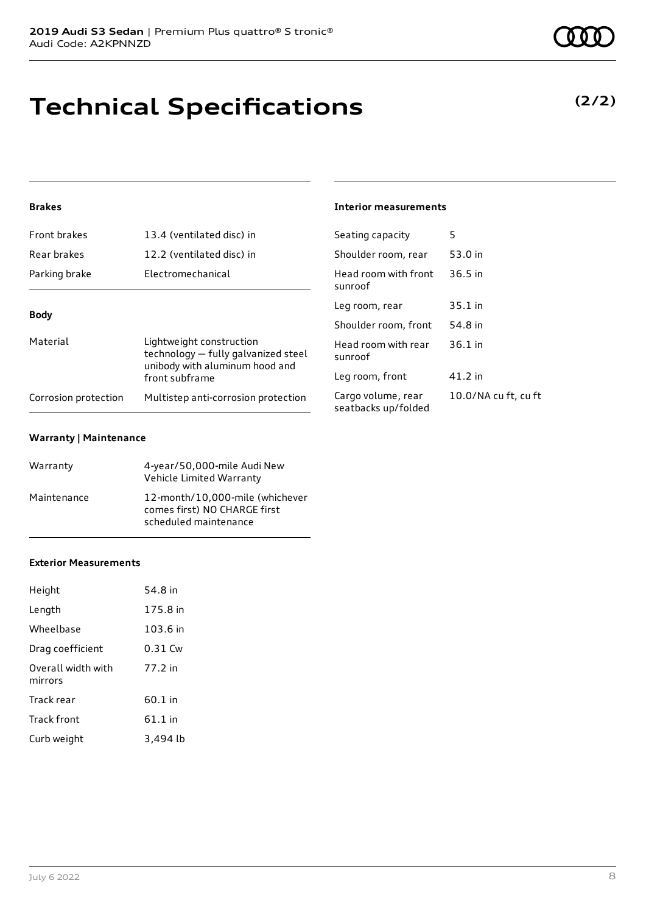# **Technical Specifications**

#### **Brakes**

| Front brakes         | 13.4 (ventilated disc) in                                                                                           | Seating capacity                          | 5              |
|----------------------|---------------------------------------------------------------------------------------------------------------------|-------------------------------------------|----------------|
| Rear brakes          | 12.2 (ventilated disc) in                                                                                           | Shoulder room, rear                       | 53             |
| Parking brake        | Electromechanical                                                                                                   | Head room with front<br>sunroof           | 3(             |
|                      |                                                                                                                     | Leg room, rear                            | 3!             |
| <b>Body</b>          |                                                                                                                     | Shoulder room, front                      | 54             |
| Material             | Lightweight construction<br>technology - fully galvanized steel<br>unibody with aluminum hood and<br>front subframe | Head room with rear<br>sunroof            | 36             |
|                      |                                                                                                                     | Leg room, front                           | $\overline{4}$ |
| Corrosion protection | Multistep anti-corrosion protection                                                                                 | Cargo volume, rear<br>seatbacks up/folded | 1(             |

#### **Warranty | Maintenance**

| Warranty    | 4-year/50,000-mile Audi New<br>Vehicle Limited Warranty                                  |
|-------------|------------------------------------------------------------------------------------------|
| Maintenance | 12-month/10.000-mile (whichever<br>comes first) NO CHARGE first<br>scheduled maintenance |

#### **Exterior Measurements**

| Height                        | 54.8 in   |
|-------------------------------|-----------|
| Length                        | 175.8 in  |
| Wheelbase                     | 103.6 in  |
| Drag coefficient              | 0.31 Cw   |
| Overall width with<br>mirrors | 77.2 in   |
| Track rear                    | 60.1 in   |
| Track front                   | $61.1$ in |
| Curb weight                   | 3,494 lb  |

#### **Interior measurements**

| Scating Capacity                          |                      |
|-------------------------------------------|----------------------|
| Shoulder room, rear                       | 53.0 in              |
| Head room with front<br>sunroof           | $36.5$ in            |
| Leg room, rear                            | 35.1 in              |
| Shoulder room, front                      | 54.8 in              |
| Head room with rear<br>sunroof            | $36.1$ in            |
| Leg room, front                           | 41.2 in              |
| Cargo volume, rear<br>seatbacks up/folded | 10.0/NA cu ft, cu ft |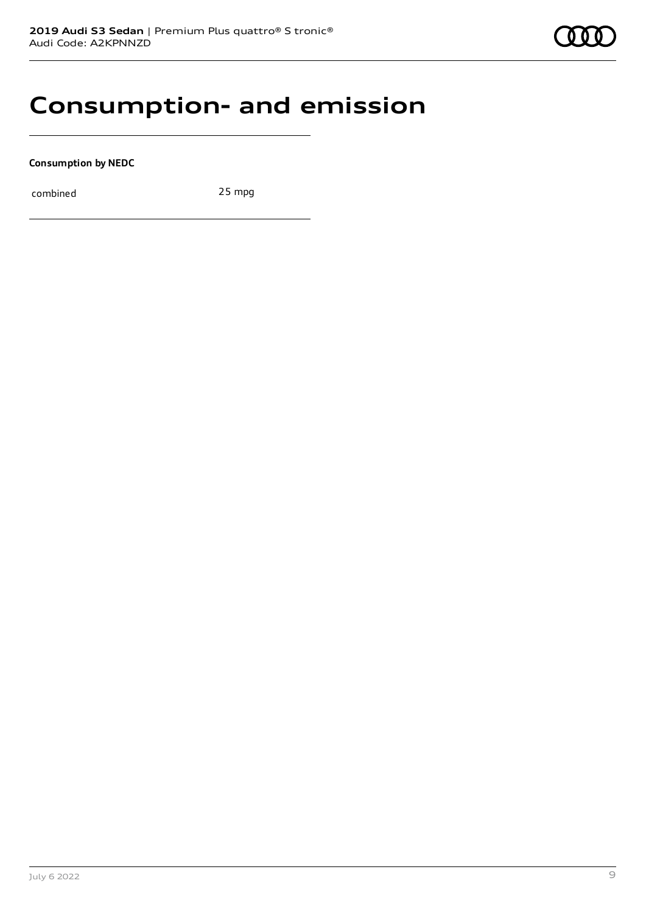### **Consumption- and emission**

**Consumption by NEDC**

combined 25 mpg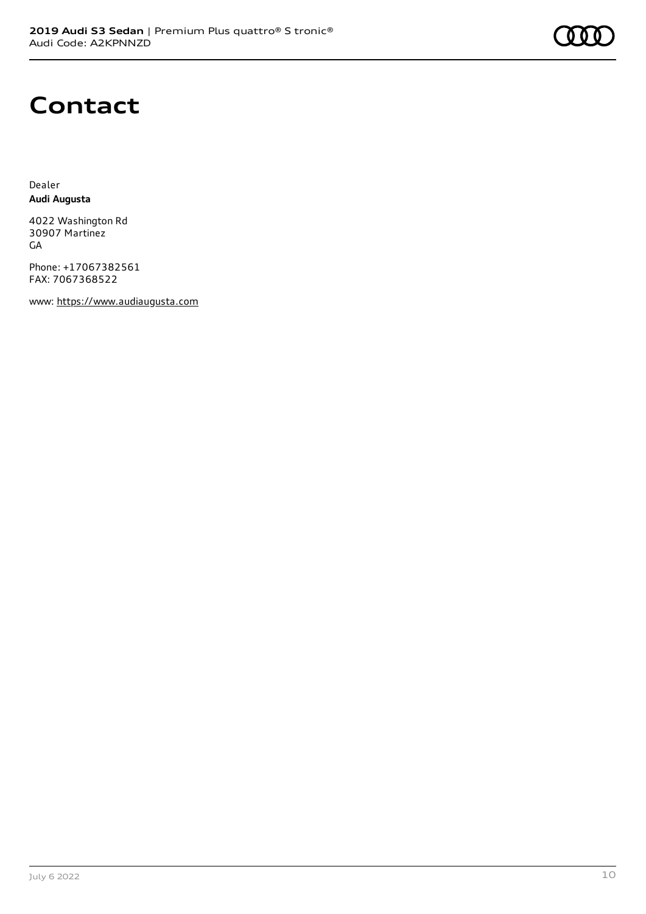

### **Contact**

Dealer **Audi Augusta**

4022 Washington Rd 30907 Martinez GA

Phone: +17067382561 FAX: 7067368522

www: [https://www.audiaugusta.com](https://www.audiaugusta.com/)